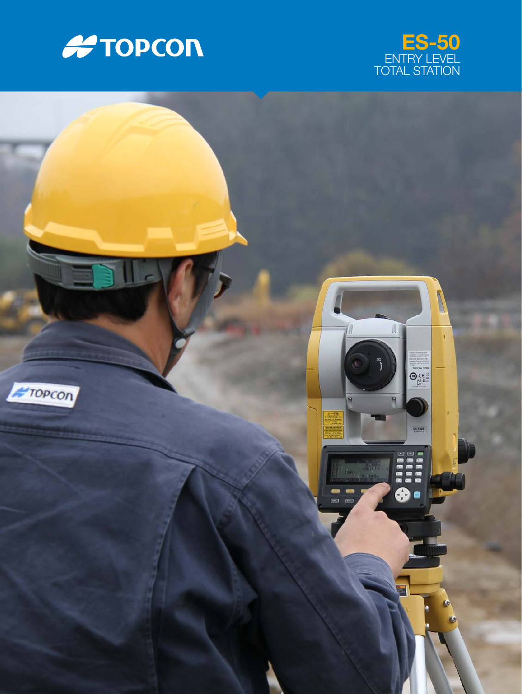